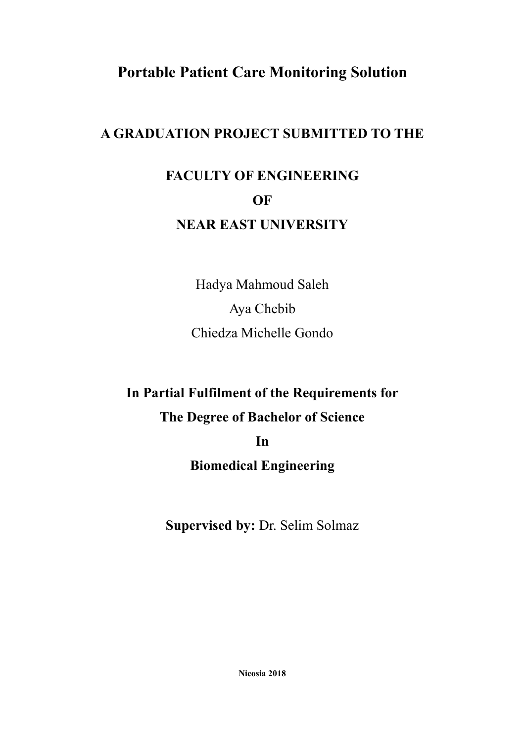# **Portable Patient Care Monitoring Solution**

## **A GRADUATION PROJECT SUBMITTED TO THE**

# **FACULTY OF ENGINEERING OF NEAR EAST UNIVERSITY**

Hadya Mahmoud Saleh Aya Chebib Chiedza Michelle Gondo

# **In Partial Fulfilment of the Requirements for The Degree of Bachelor of Science In**

# **Biomedical Engineering**

**Supervised by:** Dr. Selim Solmaz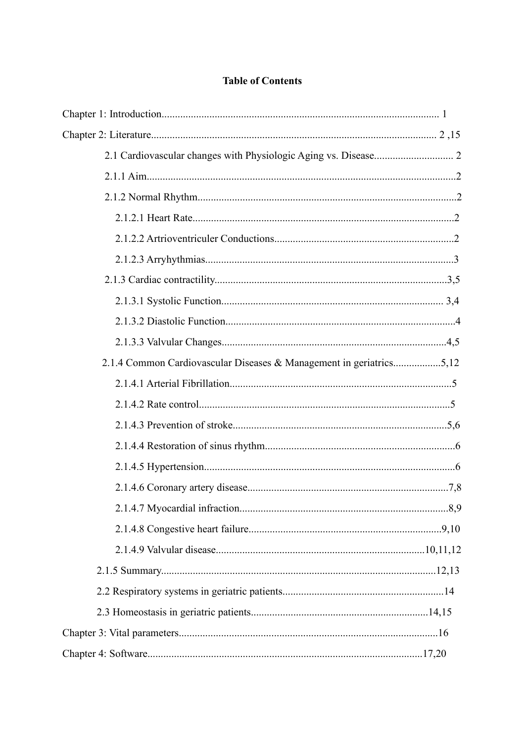#### **Table of Contents**

| 2.1.4 Common Cardiovascular Diseases & Management in geriatrics5,12 |  |
|---------------------------------------------------------------------|--|
|                                                                     |  |
|                                                                     |  |
|                                                                     |  |
|                                                                     |  |
|                                                                     |  |
|                                                                     |  |
|                                                                     |  |
|                                                                     |  |
|                                                                     |  |
|                                                                     |  |
|                                                                     |  |
|                                                                     |  |
|                                                                     |  |
|                                                                     |  |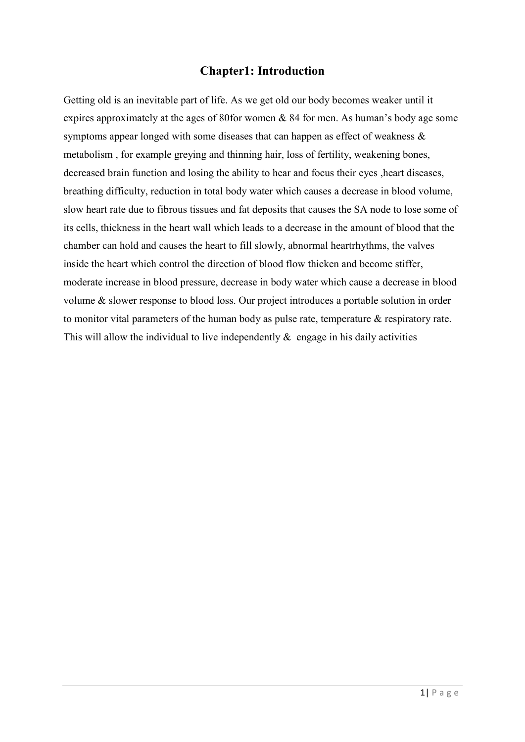### **Chapter1: Introduction**

Getting old is an inevitable part of life. As we get old our body becomes weaker until it expires approximately at the ages of 80for women & 84 for men. As human's body age some symptoms appear longed with some diseases that can happen as effect of weakness & metabolism , for example greying and thinning hair, loss of fertility, weakening bones, decreased brain function and losing the ability to hear and focus their eyes ,heart diseases, breathing difficulty, reduction in total body water which causes a decrease in blood volume, slow heart rate due to fibrous tissues and fat deposits that causes the SA node to lose some of its cells, thickness in the heart wall which leads to a decrease in the amount of blood that the chamber can hold and causes the heart to fill slowly, abnormal heartrhythms, the valves inside the heart which control the direction of blood flow thicken and become stiffer, moderate increase in blood pressure, decrease in body water which cause a decrease in blood volume & slower response to blood loss. Our project introduces a portable solution in order to monitor vital parameters of the human body as pulse rate, temperature & respiratory rate. This will allow the individual to live independently  $\&$  engage in his daily activities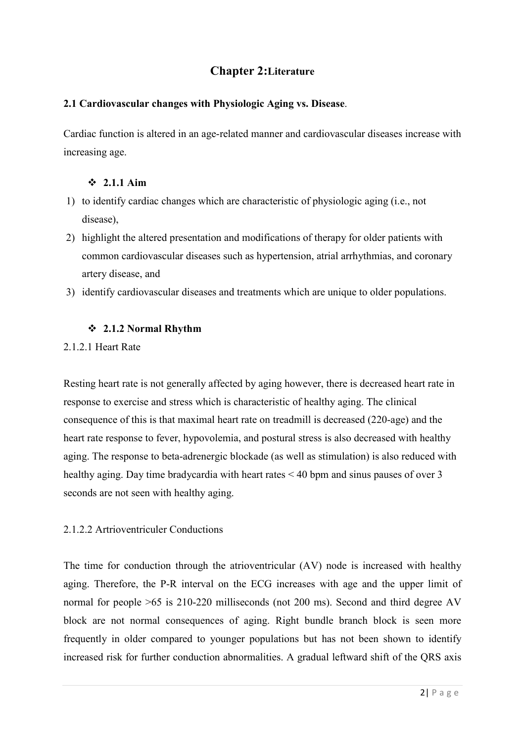## **Chapter 2:Literature**

#### **2.1 Cardiovascular changes with Physiologic Aging vs. Disease**.

Cardiac function is altered in an age-related manner and cardiovascular diseases increase with increasing age.

#### **2.1.1 Aim**

- 1) to identify cardiac changes which are characteristic of physiologic aging (i.e., not disease),
- 2) highlight the altered presentation and modifications of therapy for older patients with common cardiovascular diseases such as hypertension, atrial arrhythmias, and coronary artery disease, and
- 3) identify cardiovascular diseases and treatments which are unique to older populations.

#### **2.1.2 Normal Rhythm**

#### 2.1.2.1 Heart Rate

Resting heart rate is not generally affected by aging however, there is decreased heart rate in response to exercise and stress which is characteristic of healthy aging. The clinical consequence of this is that maximal heart rate on treadmill is decreased (220-age) and the heart rate response to fever, hypovolemia, and postural stress is also decreased with healthy aging. The response to beta-adrenergic blockade (as well as stimulation) is also reduced with healthy aging. Day time bradycardia with heart rates < 40 bpm and sinus pauses of over 3 seconds are not seen with healthy aging.

#### 2.1.2.2 Artrioventriculer Conductions

The time for conduction through the atrioventricular (AV) node is increased with healthy aging. Therefore, the P-R interval on the ECG increases with age and the upper limit of normal for people >65 is 210-220 milliseconds (not 200 ms). Second and third degree AV block are not normal consequences of aging. Right bundle branch block is seen more frequently in older compared to younger populations but has not been shown to identify increased risk for further conduction abnormalities. A gradual leftward shift of the QRS axis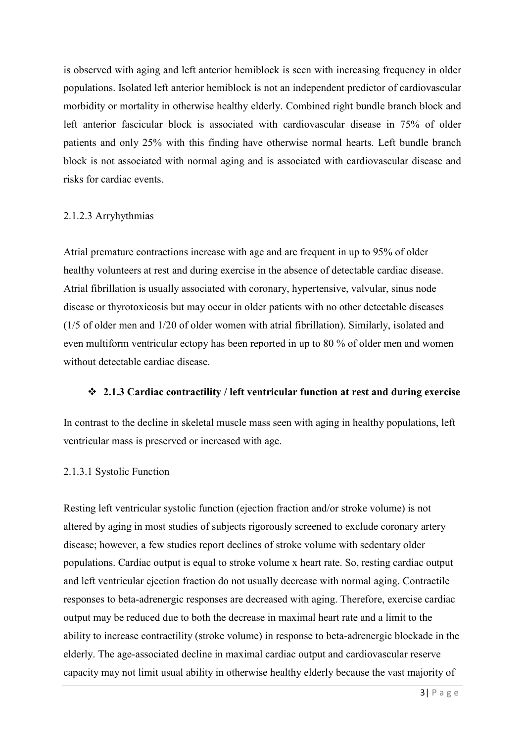is observed with aging and left anterior hemiblock is seen with increasing frequency in older populations. Isolated left anterior hemiblock is not an independent predictor of cardiovascular morbidity or mortality in otherwise healthy elderly. Combined right bundle branch block and left anterior fascicular block is associated with cardiovascular disease in 75% of older patients and only 25% with this finding have otherwise normal hearts. Left bundle branch block is not associated with normal aging and is associated with cardiovascular disease and risks for cardiac events.

#### 2.1.2.3 Arryhythmias

Atrial premature contractions increase with age and are frequent in up to 95% of older healthy volunteers at rest and during exercise in the absence of detectable cardiac disease. Atrial fibrillation is usually associated with coronary, hypertensive, valvular, sinus node disease or thyrotoxicosis but may occur in older patients with no other detectable diseases (1/5 of older men and 1/20 of older women with atrial fibrillation). Similarly, isolated and even multiform ventricular ectopy has been reported in up to 80 % of older men and women without detectable cardiac disease.

#### **2.1.3 Cardiac contractility / left ventricular function at rest and during exercise**

In contrast to the decline in skeletal muscle mass seen with aging in healthy populations, left ventricular mass is preserved or increased with age.

#### 2.1.3.1 Systolic Function

Resting left ventricular systolic function (ejection fraction and/or stroke volume) is not altered by aging in most studies of subjects rigorously screened to exclude coronary artery disease; however, a few studies report declines of stroke volume with sedentary older populations. Cardiac output is equal to stroke volume x heart rate. So, resting cardiac output and left ventricular ejection fraction do not usually decrease with normal aging. Contractile responses to beta-adrenergic responses are decreased with aging. Therefore, exercise cardiac output may be reduced due to both the decrease in maximal heart rate and a limit to the ability to increase contractility (stroke volume) in response to beta-adrenergic blockade in the elderly. The age-associated decline in maximal cardiac output and cardiovascular reserve capacity may not limit usual ability in otherwise healthy elderly because the vast majority of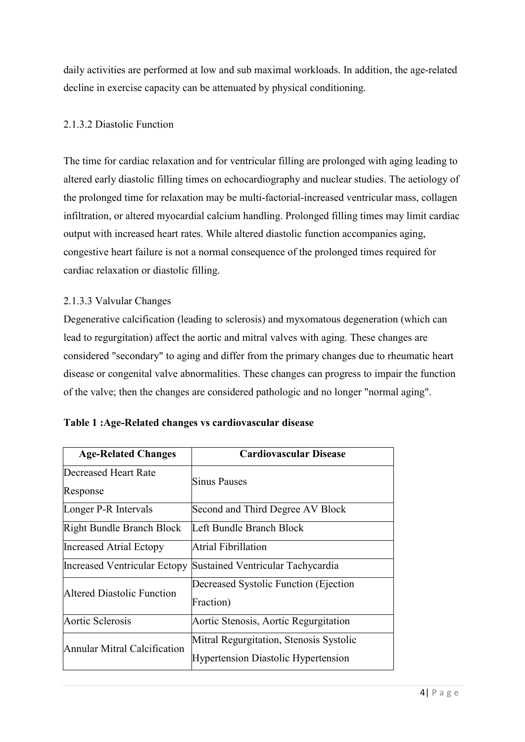daily activities are performed at low and sub maximal workloads. In addition, the age-related decline in exercise capacity can be attenuated by physical conditioning.

#### 2.1.3.2 Diastolic Function

The time for cardiac relaxation and for ventricular filling are prolonged with aging leading to altered early diastolic filling times on echocardiography and nuclear studies. The aetiology of the prolonged time for relaxation may be multi-factorial-increased ventricular mass, collagen infiltration, or altered myocardial calcium handling. Prolonged filling times may limit cardiac output with increased heart rates. While altered diastolic function accompanies aging, congestive heart failure is not a normal consequence of the prolonged times required for cardiac relaxation or diastolic filling.

#### 2.1.3.3 Valvular Changes

Degenerative calcification (leading to sclerosis) and myxomatous degeneration (which can lead to regurgitation) affect the aortic and mitral valves with aging. These changes are considered "secondary" to aging and differ from the primary changes due to rheumatic heart disease or congenital valve abnormalities. These changes can progress to impair the function of the valve; then the changes are considered pathologic and no longer "normal aging".

| <b>Age-Related Changes</b>       | <b>Cardiovascular Disease</b>                                                         |
|----------------------------------|---------------------------------------------------------------------------------------|
| Decreased Heart Rate<br>Response | Sinus Pauses                                                                          |
| Longer P-R Intervals             | Second and Third Degree AV Block                                                      |
| Right Bundle Branch Block        | Left Bundle Branch Block                                                              |
| Increased Atrial Ectopy          | Atrial Fibrillation                                                                   |
| Increased Ventricular Ectopy     | Sustained Ventricular Tachycardia                                                     |
| Altered Diastolic Function       | Decreased Systolic Function (Ejection)<br>Fraction)                                   |
| Aortic Sclerosis                 | Aortic Stenosis, Aortic Regurgitation                                                 |
| Annular Mitral Calcification     | Mitral Regurgitation, Stenosis Systolic<br><b>Hypertension Diastolic Hypertension</b> |

| Table 1: Age-Related changes vs cardiovascular disease |  |  |
|--------------------------------------------------------|--|--|
|--------------------------------------------------------|--|--|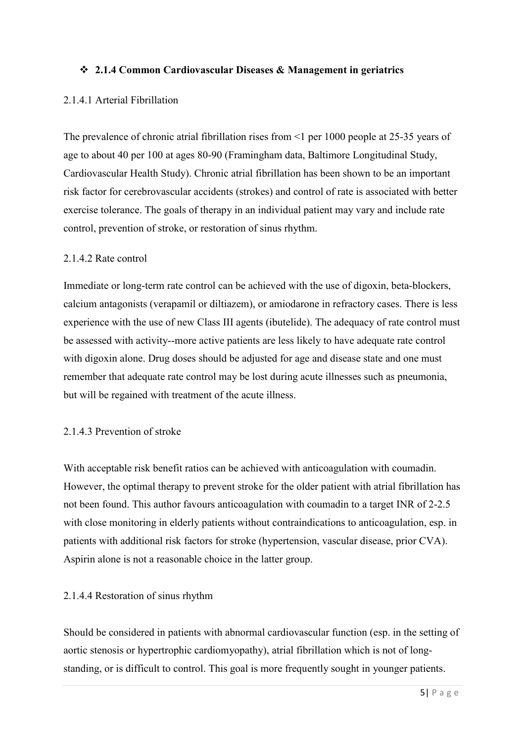#### **2.1.4 Common Cardiovascular Diseases & Management in geriatrics**

#### 2.1.4.1 Arterial Fibrillation

The prevalence of chronic atrial fibrillation rises from <1 per 1000 people at 25-35 years of age to about 40 per 100 at ages 80-90 (Framingham data, Baltimore Longitudinal Study, Cardiovascular Health Study). Chronic atrial fibrillation has been shown to be an important risk factor for cerebrovascular accidents (strokes) and control of rate is associated with better exercise tolerance. The goals of therapy in an individual patient may vary and include rate control, prevention of stroke, or restoration of sinus rhythm.

#### 2.1.4.2 Rate control

Immediate or long-term rate control can be achieved with the use of digoxin, beta-blockers, calcium antagonists (verapamil or diltiazem), or amiodarone in refractory cases. There is less experience with the use of new Class III agents (ibutelide). The adequacy of rate control must be assessed with activity--more active patients are less likely to have adequate rate control with digoxin alone. Drug doses should be adjusted for age and disease state and one must remember that adequate rate control may be lost during acute illnesses such as pneumonia, but will be regained with treatment of the acute illness.

#### 2.1.4.3 Prevention of stroke

With acceptable risk benefit ratios can be achieved with anticoagulation with coumadin. However, the optimal therapy to prevent stroke for the older patient with atrial fibrillation has not been found. This author favours anticoagulation with coumadin to a target INR of 2-2.5 with close monitoring in elderly patients without contraindications to anticoagulation, esp. in patients with additional risk factors for stroke (hypertension, vascular disease, prior CVA). Aspirin alone is not a reasonable choice in the latter group.

#### 2.1.4.4 Restoration of sinus rhythm

Should be considered in patients with abnormal cardiovascular function (esp. in the setting of aortic stenosis or hypertrophic cardiomyopathy), atrial fibrillation which is not of longstanding, or is difficult to control. This goal is more frequently sought in younger patients.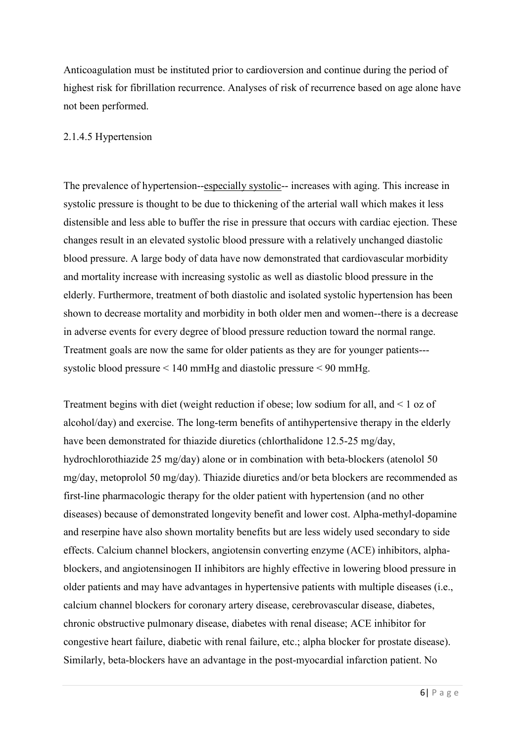Anticoagulation must be instituted prior to cardioversion and continue during the period of highest risk for fibrillation recurrence. Analyses of risk of recurrence based on age alone have not been performed.

#### 2.1.4.5 Hypertension

The prevalence of hypertension--especially systolic-- increases with aging. This increase in systolic pressure is thought to be due to thickening of the arterial wall which makes it less distensible and less able to buffer the rise in pressure that occurs with cardiac ejection. These changes result in an elevated systolic blood pressure with a relatively unchanged diastolic blood pressure. A large body of data have now demonstrated that cardiovascular morbidity and mortality increase with increasing systolic as well as diastolic blood pressure in the elderly. Furthermore, treatment of both diastolic and isolated systolic hypertension has been shown to decrease mortality and morbidity in both older men and women--there is a decrease in adverse events for every degree of blood pressure reduction toward the normal range. Treatment goals are now the same for older patients as they are for younger patients-- systolic blood pressure < 140 mmHg and diastolic pressure < 90 mmHg.

Treatment begins with diet (weight reduction if obese; low sodium for all, and < 1 oz of alcohol/day) and exercise. The long-term benefits of antihypertensive therapy in the elderly have been demonstrated for thiazide diuretics (chlorthalidone 12.5-25 mg/day, hydrochlorothiazide 25 mg/day) alone or in combination with beta-blockers (atenolol 50 mg/day, metoprolol 50 mg/day). Thiazide diuretics and/or beta blockers are recommended as first-line pharmacologic therapy for the older patient with hypertension (and no other diseases) because of demonstrated longevity benefit and lower cost. Alpha-methyl-dopamine and reserpine have also shown mortality benefits but are less widely used secondary to side effects. Calcium channel blockers, angiotensin converting enzyme (ACE) inhibitors, alphablockers, and angiotensinogen II inhibitors are highly effective in lowering blood pressure in older patients and may have advantages in hypertensive patients with multiple diseases (i.e., calcium channel blockers for coronary artery disease, cerebrovascular disease, diabetes, chronic obstructive pulmonary disease, diabetes with renal disease; ACE inhibitor for congestive heart failure, diabetic with renal failure, etc.; alpha blocker for prostate disease). Similarly, beta-blockers have an advantage in the post-myocardial infarction patient. No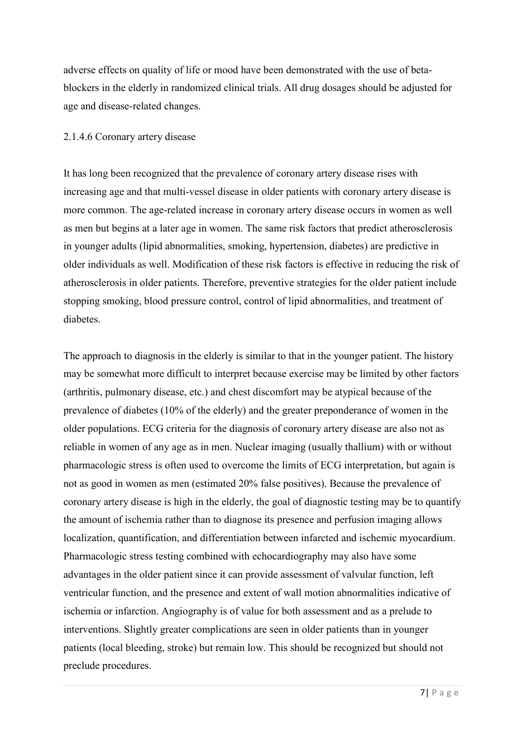adverse effects on quality of life or mood have been demonstrated with the use of betablockers in the elderly in randomized clinical trials. All drug dosages should be adjusted for age and disease-related changes.

#### 2.1.4.6 Coronary artery disease

It has long been recognized that the prevalence of coronary artery disease rises with increasing age and that multi-vessel disease in older patients with coronary artery disease is more common. The age-related increase in coronary artery disease occurs in women as well as men but begins at a later age in women. The same risk factors that predict atherosclerosis in younger adults (lipid abnormalities, smoking, hypertension, diabetes) are predictive in older individuals as well. Modification of these risk factors is effective in reducing the risk of atherosclerosis in older patients. Therefore, preventive strategies for the older patient include stopping smoking, blood pressure control, control of lipid abnormalities, and treatment of diabetes.

The approach to diagnosis in the elderly is similar to that in the younger patient. The history may be somewhat more difficult to interpret because exercise may be limited by other factors (arthritis, pulmonary disease, etc.) and chest discomfort may be atypical because of the prevalence of diabetes (10% of the elderly) and the greater preponderance of women in the older populations. ECG criteria for the diagnosis of coronary artery disease are also not as reliable in women of any age as in men. Nuclear imaging (usually thallium) with or without pharmacologic stress is often used to overcome the limits of ECG interpretation, but again is not as good in women as men (estimated 20% false positives). Because the prevalence of coronary artery disease is high in the elderly, the goal of diagnostic testing may be to quantify the amount of ischemia rather than to diagnose its presence and perfusion imaging allows localization, quantification, and differentiation between infarcted and ischemic myocardium. Pharmacologic stress testing combined with echocardiography may also have some advantages in the older patient since it can provide assessment of valvular function, left ventricular function, and the presence and extent of wall motion abnormalities indicative of ischemia or infarction. Angiography is of value for both assessment and as a prelude to interventions. Slightly greater complications are seen in older patients than in younger patients (local bleeding, stroke) but remain low. This should be recognized but should not preclude procedures.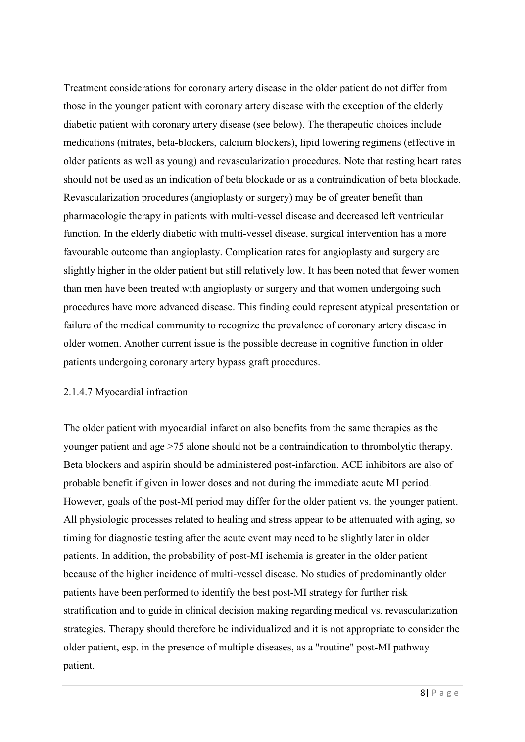Treatment considerations for coronary artery disease in the older patient do not differ from those in the younger patient with coronary artery disease with the exception of the elderly diabetic patient with coronary artery disease (see below). The therapeutic choices include medications (nitrates, beta-blockers, calcium blockers), lipid lowering regimens (effective in older patients as well as young) and revascularization procedures. Note that resting heart rates should not be used as an indication of beta blockade or as a contraindication of beta blockade. Revascularization procedures (angioplasty or surgery) may be of greater benefit than pharmacologic therapy in patients with multi-vessel disease and decreased left ventricular function. In the elderly diabetic with multi-vessel disease, surgical intervention has a more favourable outcome than angioplasty. Complication rates for angioplasty and surgery are slightly higher in the older patient but still relatively low. It has been noted that fewer women than men have been treated with angioplasty or surgery and that women undergoing such procedures have more advanced disease. This finding could represent atypical presentation or failure of the medical community to recognize the prevalence of coronary artery disease in older women. Another current issue is the possible decrease in cognitive function in older patients undergoing coronary artery bypass graft procedures.

#### 2.1.4.7 Myocardial infraction

The older patient with myocardial infarction also benefits from the same therapies as the younger patient and age >75 alone should not be a contraindication to thrombolytic therapy. Beta blockers and aspirin should be administered post-infarction. ACE inhibitors are also of probable benefit if given in lower doses and not during the immediate acute MI period. However, goals of the post-MI period may differ for the older patient vs. the younger patient. All physiologic processes related to healing and stress appear to be attenuated with aging, so timing for diagnostic testing after the acute event may need to be slightly later in older patients. In addition, the probability of post-MI ischemia is greater in the older patient because of the higher incidence of multi-vessel disease. No studies of predominantly older patients have been performed to identify the best post-MI strategy for further risk stratification and to guide in clinical decision making regarding medical vs. revascularization strategies. Therapy should therefore be individualized and it is not appropriate to consider the older patient, esp. in the presence of multiple diseases, as a "routine" post-MI pathway patient.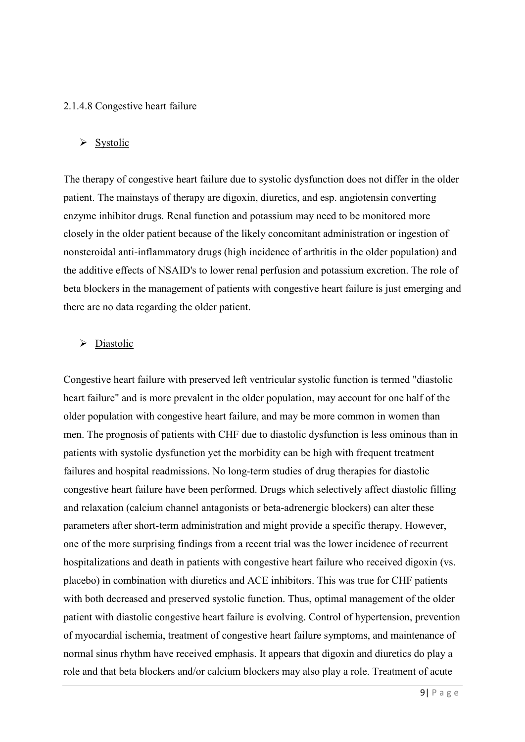#### 2.1.4.8 Congestive heart failure

#### $\triangleright$  Systolic

The therapy of congestive heart failure due to systolic dysfunction does not differ in the older patient. The mainstays of therapy are digoxin, diuretics, and esp. angiotensin converting enzyme inhibitor drugs. Renal function and potassium may need to be monitored more closely in the older patient because of the likely concomitant administration or ingestion of nonsteroidal anti-inflammatory drugs (high incidence of arthritis in the older population) and the additive effects of NSAID's to lower renal perfusion and potassium excretion. The role of beta blockers in the management of patients with congestive heart failure is just emerging and there are no data regarding the older patient.

#### $\triangleright$  Diastolic

Congestive heart failure with preserved left ventricular systolic function is termed "diastolic heart failure" and is more prevalent in the older population, may account for one half of the older population with congestive heart failure, and may be more common in women than men. The prognosis of patients with CHF due to diastolic dysfunction is less ominous than in patients with systolic dysfunction yet the morbidity can be high with frequent treatment failures and hospital readmissions. No long-term studies of drug therapies for diastolic congestive heart failure have been performed. Drugs which selectively affect diastolic filling and relaxation (calcium channel antagonists or beta-adrenergic blockers) can alter these parameters after short-term administration and might provide a specific therapy. However, one of the more surprising findings from a recent trial was the lower incidence of recurrent hospitalizations and death in patients with congestive heart failure who received digoxin (vs. placebo) in combination with diuretics and ACE inhibitors. This was true for CHF patients with both decreased and preserved systolic function. Thus, optimal management of the older patient with diastolic congestive heart failure is evolving. Control of hypertension, prevention of myocardial ischemia, treatment of congestive heart failure symptoms, and maintenance of normal sinus rhythm have received emphasis. It appears that digoxin and diuretics do play a role and that beta blockers and/or calcium blockers may also play a role. Treatment of acute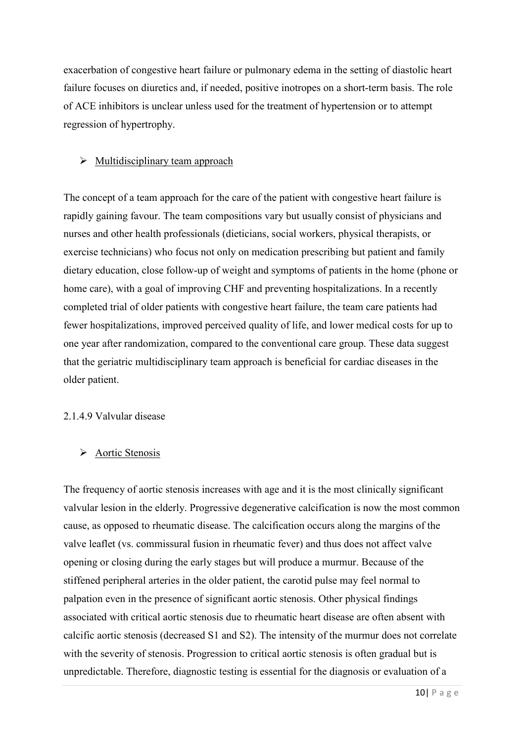exacerbation of congestive heart failure or pulmonary edema in the setting of diastolic heart failure focuses on diuretics and, if needed, positive inotropes on a short-term basis. The role of ACE inhibitors is unclear unless used for the treatment of hypertension or to attempt regression of hypertrophy.

#### $\triangleright$  Multidisciplinary team approach

The concept of a team approach for the care of the patient with congestive heart failure is rapidly gaining favour. The team compositions vary but usually consist of physicians and nurses and other health professionals (dieticians, social workers, physical therapists, or exercise technicians) who focus not only on medication prescribing but patient and family dietary education, close follow-up of weight and symptoms of patients in the home (phone or home care), with a goal of improving CHF and preventing hospitalizations. In a recently completed trial of older patients with congestive heart failure, the team care patients had fewer hospitalizations, improved perceived quality of life, and lower medical costs for up to one year after randomization, compared to the conventional care group. These data suggest that the geriatric multidisciplinary team approach is beneficial for cardiac diseases in the older patient.

#### 2.1.4.9 Valvular disease

#### $\triangleright$  Aortic Stenosis

The frequency of aortic stenosis increases with age and it is the most clinically significant valvular lesion in the elderly. Progressive degenerative calcification is now the most common cause, as opposed to rheumatic disease. The calcification occurs along the margins of the valve leaflet (vs. commissural fusion in rheumatic fever) and thus does not affect valve opening or closing during the early stages but will produce a murmur. Because of the stiffened peripheral arteries in the older patient, the carotid pulse may feel normal to palpation even in the presence of significant aortic stenosis. Other physical findings associated with critical aortic stenosis due to rheumatic heart disease are often absent with calcific aortic stenosis (decreased S1 and S2). The intensity of the murmur does not correlate with the severity of stenosis. Progression to critical aortic stenosis is often gradual but is unpredictable. Therefore, diagnostic testing is essential for the diagnosis or evaluation of a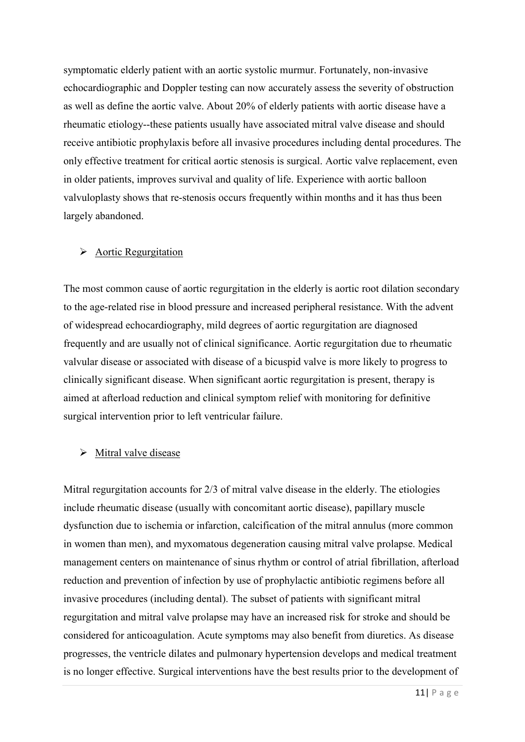symptomatic elderly patient with an aortic systolic murmur. Fortunately, non-invasive echocardiographic and Doppler testing can now accurately assess the severity of obstruction as well as define the aortic valve. About 20% of elderly patients with aortic disease have a rheumatic etiology--these patients usually have associated mitral valve disease and should receive antibiotic prophylaxis before all invasive procedures including dental procedures. The only effective treatment for critical aortic stenosis is surgical. Aortic valve replacement, even in older patients, improves survival and quality of life. Experience with aortic balloon valvuloplasty shows that re-stenosis occurs frequently within months and it has thus been largely abandoned.

#### Aortic Regurgitation

The most common cause of aortic regurgitation in the elderly is aortic root dilation secondary to the age-related rise in blood pressure and increased peripheral resistance. With the advent of widespread echocardiography, mild degrees of aortic regurgitation are diagnosed frequently and are usually not of clinical significance. Aortic regurgitation due to rheumatic valvular disease or associated with disease of a bicuspid valve is more likely to progress to clinically significant disease. When significant aortic regurgitation is present, therapy is aimed at afterload reduction and clinical symptom relief with monitoring for definitive surgical intervention prior to left ventricular failure.

#### $\triangleright$  Mitral valve disease

Mitral regurgitation accounts for 2/3 of mitral valve disease in the elderly. The etiologies include rheumatic disease (usually with concomitant aortic disease), papillary muscle dysfunction due to ischemia or infarction, calcification of the mitral annulus (more common in women than men), and myxomatous degeneration causing mitral valve prolapse. Medical management centers on maintenance of sinus rhythm or control of atrial fibrillation, afterload reduction and prevention of infection by use of prophylactic antibiotic regimens before all invasive procedures (including dental). The subset of patients with significant mitral regurgitation and mitral valve prolapse may have an increased risk for stroke and should be considered for anticoagulation. Acute symptoms may also benefit from diuretics. As disease progresses, the ventricle dilates and pulmonary hypertension develops and medical treatment is no longer effective. Surgical interventions have the best results prior to the development of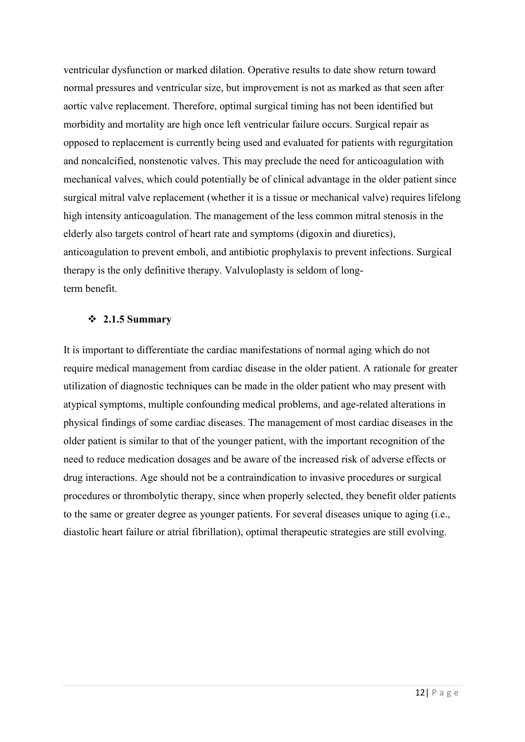ventricular dysfunction or marked dilation. Operative results to date show return toward normal pressures and ventricular size, but improvement is not as marked as that seen after aortic valve replacement. Therefore, optimal surgical timing has not been identified but morbidity and mortality are high once left ventricular failure occurs. Surgical repair as opposed to replacement is currently being used and evaluated for patients with regurgitation and noncalcified, nonstenotic valves. This may preclude the need for anticoagulation with mechanical valves, which could potentially be of clinical advantage in the older patient since surgical mitral valve replacement (whether it is a tissue or mechanical valve) requires lifelong high intensity anticoagulation. The management of the less common mitral stenosis in the elderly also targets control of heart rate and symptoms (digoxin and diuretics), anticoagulation to prevent emboli, and antibiotic prophylaxis to prevent infections. Surgical therapy is the only definitive therapy. Valvuloplasty is seldom of longterm benefit.

#### **2.1.5 Summary**

It is important to differentiate the cardiac manifestations of normal aging which do not require medical management from cardiac disease in the older patient. A rationale for greater utilization of diagnostic techniques can be made in the older patient who may present with atypical symptoms, multiple confounding medical problems, and age-related alterations in physical findings of some cardiac diseases. The management of most cardiac diseases in the older patient is similar to that of the younger patient, with the important recognition of the need to reduce medication dosages and be aware of the increased risk of adverse effects or drug interactions. Age should not be a contraindication to invasive procedures or surgical procedures or thrombolytic therapy, since when properly selected, they benefit older patients to the same or greater degree as younger patients. For several diseases unique to aging (i.e., diastolic heart failure or atrial fibrillation), optimal therapeutic strategies are still evolving.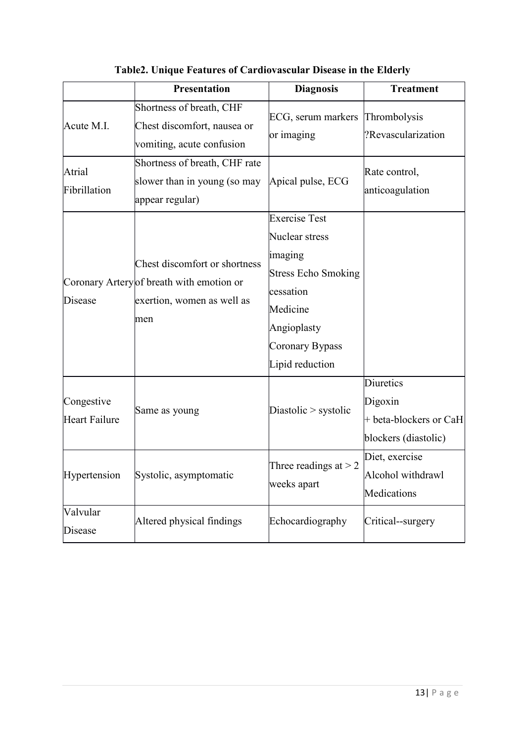|                                    | <b>Presentation</b>                                                                                             | <b>Diagnosis</b>                                                                                                                                              | <b>Treatment</b>                                                       |
|------------------------------------|-----------------------------------------------------------------------------------------------------------------|---------------------------------------------------------------------------------------------------------------------------------------------------------------|------------------------------------------------------------------------|
| Acute M.I.                         | Shortness of breath, CHF<br>Chest discomfort, nausea or<br>vomiting, acute confusion                            | ECG, serum markers<br>or imaging                                                                                                                              | Thrombolysis<br>?Revascularization                                     |
| Atrial<br>Fibrillation             | Shortness of breath, CHF rate<br>slower than in young (so may<br>appear regular)                                | Apical pulse, ECG                                                                                                                                             | Rate control,<br>anticoagulation                                       |
| Disease                            | Chest discomfort or shortness<br>Coronary Artery of breath with emotion or<br>exertion, women as well as<br>men | <b>Exercise Test</b><br>Nuclear stress<br>imaging<br><b>Stress Echo Smoking</b><br>cessation<br>Medicine<br>Angioplasty<br>Coronary Bypass<br>Lipid reduction |                                                                        |
| Congestive<br><b>Heart Failure</b> | Same as young                                                                                                   | Diastolic $>$ systolic                                                                                                                                        | Diuretics<br>Digoxin<br>+ beta-blockers or CaH<br>blockers (diastolic) |
|                                    | Hypertension Systolic, asymptomatic                                                                             | Three readings at $> 2$<br>weeks apart                                                                                                                        | Diet, exercise<br>Alcohol withdrawl<br>Medications                     |
| Valvular<br>Disease                | Altered physical findings                                                                                       | Echocardiography                                                                                                                                              | Critical--surgery                                                      |

**Table2. Unique Features of Cardiovascular Disease in the Elderly**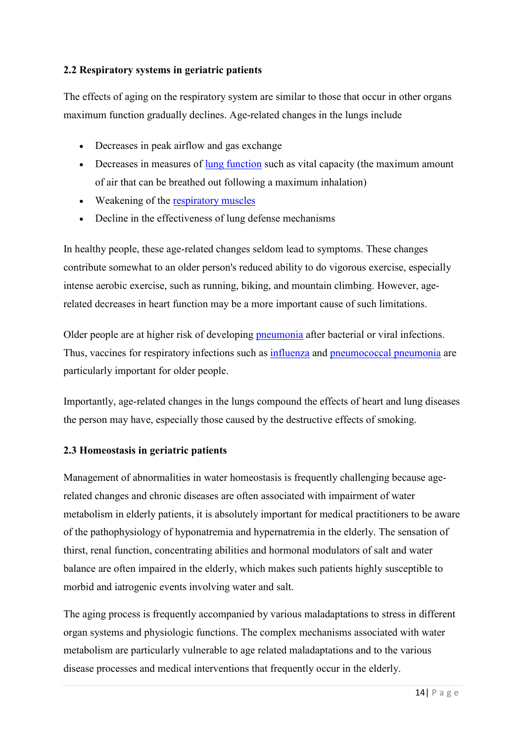#### **2.2 Respiratory systems in geriatric patients**

The effects of aging on the respiratory system are similar to those that occur in other organs maximum function gradually declines. Age-related changes in the lungs include

- Decreases in peak airflow and gas exchange
- $\bullet$  Decreases in measures of lung function such as vital capacity (the maximum amount of air that can be breathed out following a maximum inhalation)
- Weakening of the respiratory muscles
- Decline in the effectiveness of lung defense mechanisms

In healthy people, these age-related changes seldom lead to symptoms. These changes contribute somewhat to an older person's reduced ability to do vigorous exercise, especially intense aerobic exercise, such as running, biking, and mountain climbing. However, agerelated decreases in heart function may be a more important cause of such limitations.

Older people are at higher risk of developing pneumonia after bacterial or viral infections. Thus, vaccines for respiratory infections such as influenza and pneumococcal pneumonia are particularly important for older people.

Importantly, age-related changes in the lungs compound the effects of heart and lung diseases the person may have, especially those caused by the destructive effects of smoking.

#### **2.3 Homeostasis in geriatric patients**

Management of abnormalities in water homeostasis is frequently challenging because agerelated changes and chronic diseases are often associated with impairment of water metabolism in elderly patients, it is absolutely important for medical practitioners to be aware of the pathophysiology of hyponatremia and hypernatremia in the elderly. The sensation of thirst, renal function, concentrating abilities and hormonal modulators of salt and water balance are often impaired in the elderly, which makes such patients highly susceptible to morbid and iatrogenic events involving water and salt.

The aging process is frequently accompanied by various maladaptations to stress in different organ systems and physiologic functions. The complex mechanisms associated with water metabolism are particularly vulnerable to age related maladaptations and to the various disease processes and medical interventions that frequently occur in the elderly.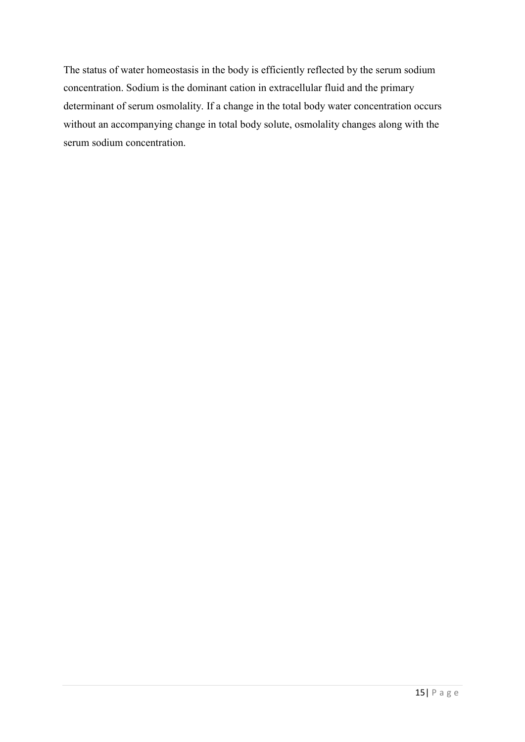The status of water homeostasis in the body is efficiently reflected by the serum sodium concentration. Sodium is the dominant cation in extracellular fluid and the primary determinant of serum osmolality. If a change in the total body water concentration occurs without an accompanying change in total body solute, osmolality changes along with the serum sodium concentration.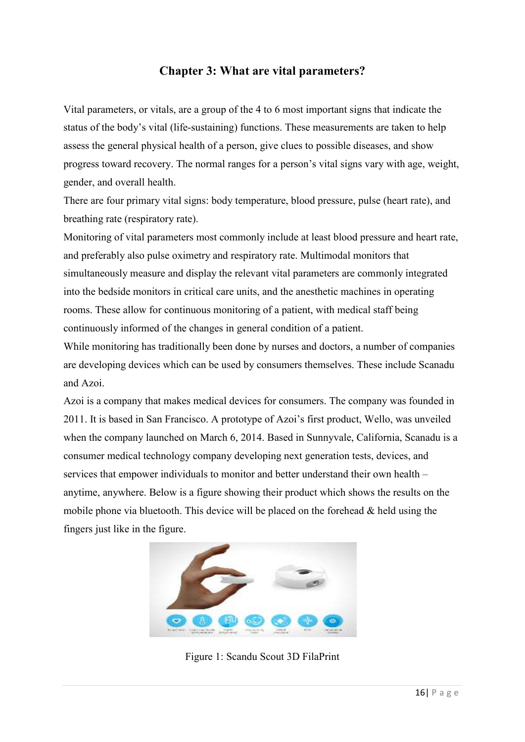### **Chapter 3: What are vital parameters?**

Vital parameters, or vitals, are a group of the 4 to 6 most important signs that indicate the status of the body's vital (life-sustaining) functions. These measurements are taken to help assess the general physical health of a person, give clues to possible diseases, and show progress toward recovery. The normal ranges for a person's vital signs vary with age, weight, gender, and overall health.

There are four primary vital signs: body temperature, blood pressure, pulse (heart rate), and breathing rate (respiratory rate).

Monitoring of vital parameters most commonly include at least blood pressure and heart rate, and preferably also pulse oximetry and respiratory rate. Multimodal monitors that simultaneously measure and display the relevant vital parameters are commonly integrated into the bedside monitors in critical care units, and the anesthetic machines in operating rooms. These allow for continuous monitoring of a patient, with medical staff being continuously informed of the changes in general condition of a patient.

While monitoring has traditionally been done by nurses and doctors, a number of companies are developing devices which can be used by consumers themselves. These include Scanadu and Azoi.

Azoi is a company that makes medical devices for consumers. The company was founded in 2011. It is based in San Francisco. A prototype of Azoi's first product, Wello, was unveiled when the company launched on March 6, 2014. Based in Sunnyvale, California, Scanadu is a consumer medical technology company developing next generation tests, devices, and services that empower individuals to monitor and better understand their own health – anytime, anywhere. Below is a figure showing their product which shows the results on the mobile phone via bluetooth. This device will be placed on the forehead  $\&$  held using the fingers just like in the figure.



Figure 1: Scandu Scout 3D FilaPrint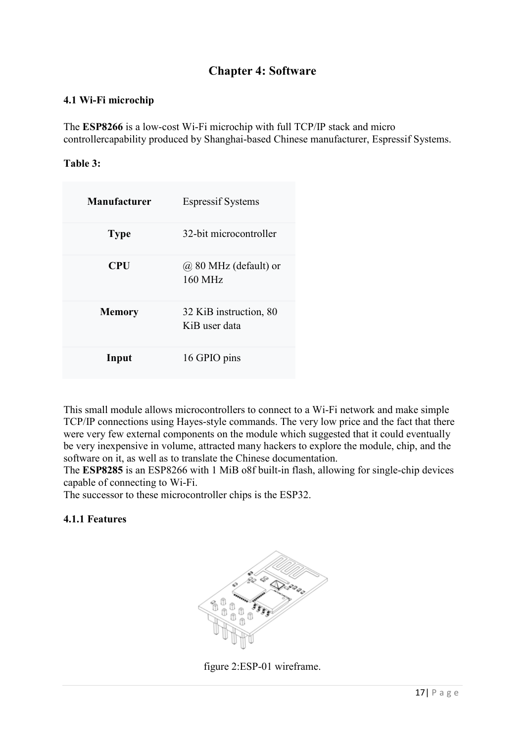## **Chapter 4: Software**

#### **4.1 Wi-Fi microchip**

The **ESP8266** is a low-cost Wi-Fi microchip with full TCP/IP stack and micro controllercapability produced by Shanghai-based Chinese manufacturer, Espressif Systems.

#### **Table 3:**

| <b>Manufacturer</b> | <b>Espressif Systems</b>                |
|---------------------|-----------------------------------------|
| <b>Type</b>         | 32-bit microcontroller                  |
| <b>CPU</b>          | $(a)$ 80 MHz (default) or<br>160 MHz    |
| <b>Memory</b>       | 32 KiB instruction, 80<br>KiB user data |
| Input               | 16 GPIO pins                            |

This small module allows microcontrollers to connect to a Wi-Fi network and make simple TCP/IP connections using Hayes-style commands. The very low price and the fact that there were very few external components on the module which suggested that it could eventually be very inexpensive in volume, attracted many hackers to explore the module, chip, and the software on it, as well as to translate the Chinese documentation.

The **ESP8285** is an ESP8266 with 1 MiB o8f built-in flash, allowing for single-chip devices capable of connecting to Wi-Fi.

The successor to these microcontroller chips is the ESP32.

#### **4.1.1 Features**



figure 2:ESP-01 wireframe.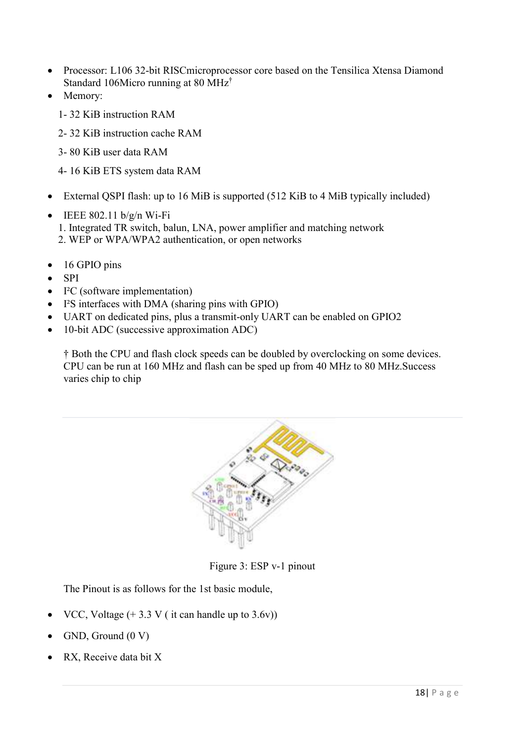- Processor: L106 32-bit RISCmicroprocessor core based on the Tensilica Xtensa Diamond Standard 106Micro running at 80 MHz†
- Memory:
	- 1- 32 KiB instruction RAM
	- 2- 32 KiB instruction cache RAM
	- 3- 80 KiB user data RAM
	- 4- 16 KiB ETS system data RAM
- External QSPI flash: up to 16 MiB is supported (512 KiB to 4 MiB typically included)
- $\bullet$  IEEE 802.11 b/g/n Wi-Fi 1. Integrated TR switch, balun, LNA, power amplifier and matching network
	- 2. WEP or WPA/WPA2 authentication, or open networks
- $\bullet$  16 GPIO pins
- $\bullet$  SPI
- I<sup>2</sup>C (software implementation)
- $\bullet$  I<sup>2</sup>S interfaces with DMA (sharing pins with GPIO)
- UART on dedicated pins, plus a transmit-only UART can be enabled on GPIO2
- 10-bit ADC (successive approximation ADC)

† Both the CPU and flash clock speeds can be doubled by overclocking on some devices. CPU can be run at 160 MHz and flash can be sped up from 40 MHz to 80 MHz.Success varies chip to chip



Figure 3: ESP v-1 pinout

The Pinout is as follows for the 1st basic module,

- VCC, Voltage  $(+ 3.3 \text{ V}$  ( it can handle up to 3.6v))
- GND, Ground (0 V)
- RX, Receive data bit X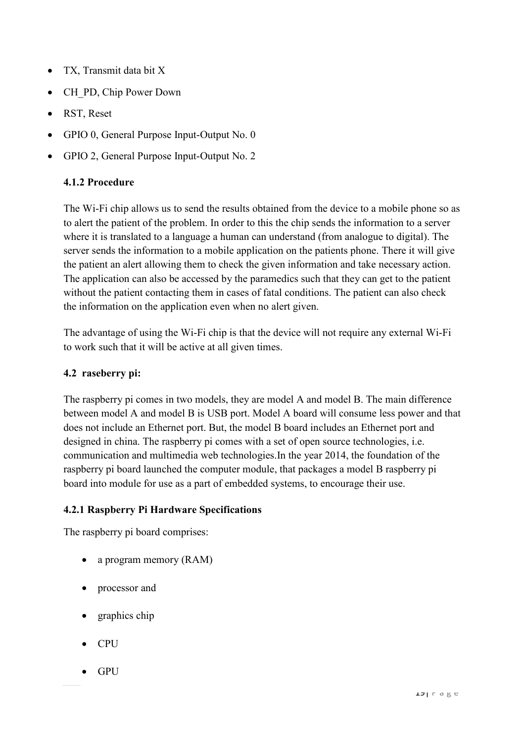- TX, Transmit data bit X
- CH\_PD, Chip Power Down
- RST, Reset
- GPIO 0, General Purpose Input-Output No. 0
- GPIO 2, General Purpose Input-Output No. 2

#### **4.1.2 Procedure**

The Wi-Fi chip allows us to send the results obtained from the device to a mobile phone so as to alert the patient of the problem. In order to this the chip sends the information to a server where it is translated to a language a human can understand (from analogue to digital). The server sends the information to a mobile application on the patients phone. There it will give the patient an alert allowing them to check the given information and take necessary action. The application can also be accessed by the paramedics such that they can get to the patient without the patient contacting them in cases of fatal conditions. The patient can also check the information on the application even when no alert given.

The advantage of using the Wi-Fi chip is that the device will not require any external Wi-Fi to work such that it will be active at all given times.

#### **4.2 raseberry pi:**

The raspberry pi comes in two models, they are model A and model B. The main difference between model A and model B is USB port. Model A board will consume less power and that does not include an Ethernet port. But, the model B board includes an Ethernet port and designed in china. The raspberry pi comes with a set of open source technologies, i.e. communication and multimedia web technologies.In the year 2014, the foundation of the raspberry pi board launched the computer module, that packages a model B raspberry pi board into module for use as a part of embedded systems, to encourage their use.

#### **4.2.1 Raspberry Pi Hardware Specifications**

The raspberry pi board comprises:

- a program memory (RAM)
- processor and
- graphics chip
- **CPU**
- GPU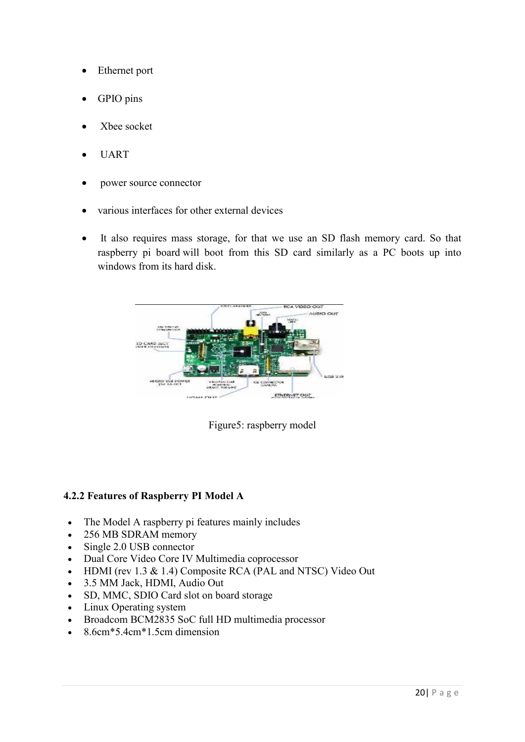- Ethernet port
- GPIO pins
- Xbee socket
- UART
- power source connector
- various interfaces for other external devices
- It also requires mass storage, for that we use an SD flash memory card. So that raspberry pi board will boot from this SD card similarly as a PC boots up into windows from its hard disk.





#### **4.2.2 Features of Raspberry PI Model A**

- The Model A raspberry pi features mainly includes
- 256 MB SDRAM memory
- Single 2.0 USB connector
- Dual Core Video Core IV Multimedia coprocessor
- HDMI (rev 1.3 & 1.4) Composite RCA (PAL and NTSC) Video Out
- 3.5 MM Jack, HDMI, Audio Out
- SD, MMC, SDIO Card slot on board storage
- Linux Operating system
- Broadcom BCM2835 SoC full HD multimedia processor
- 8.6cm\*5.4cm\*1.5cm dimension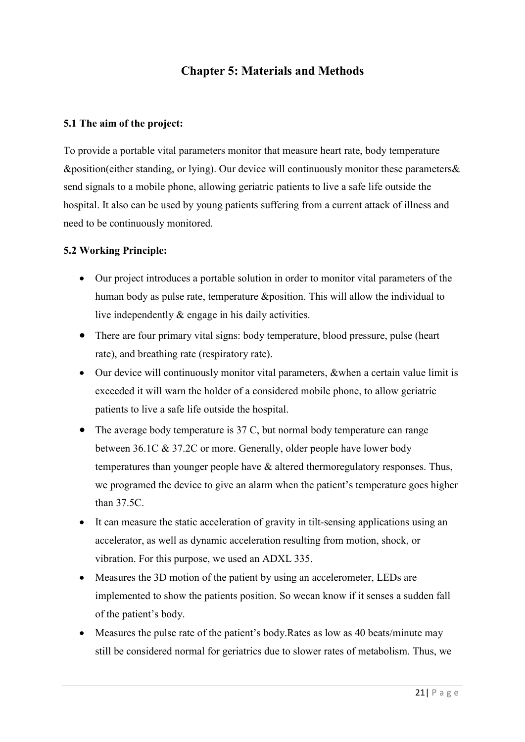## **Chapter 5: Materials and Methods**

#### **5.1 The aim of the project:**

To provide a portable vital parameters monitor that measure heart rate, body temperature &position(either standing, or lying). Our device will continuously monitor these parameters& send signals to a mobile phone, allowing geriatric patients to live a safe life outside the hospital. It also can be used by young patients suffering from a current attack of illness and need to be continuously monitored.

#### **5.2 Working Principle:**

- Our project introduces a portable solution in order to monitor vital parameters of the human body as pulse rate, temperature &position. This will allow the individual to live independently & engage in his daily activities.
- There are four primary vital signs: body temperature, blood pressure, pulse (heart rate), and breathing rate (respiratory rate).
- Our device will continuously monitor vital parameters, &when a certain value limit is exceeded it will warn the holder of a considered mobile phone, to allow geriatric patients to live a safe life outside the hospital.
- The average body temperature is 37 C, but normal body temperature can range between 36.1C & 37.2C or more. Generally, older people have lower body temperatures than younger people have & altered thermoregulatory responses. Thus, we programed the device to give an alarm when the patient's temperature goes higher than 37.5C.
- It can measure the static acceleration of gravity in tilt-sensing applications using an accelerator, as well as dynamic acceleration resulting from motion, shock, or vibration. For this purpose, we used an ADXL 335.
- Measures the 3D motion of the patient by using an accelerometer, LEDs are implemented to show the patients position. So wecan know if it senses a sudden fall of the patient's body.
- Measures the pulse rate of the patient's body.Rates as low as 40 beats/minute may still be considered normal for geriatrics due to slower rates of metabolism. Thus, we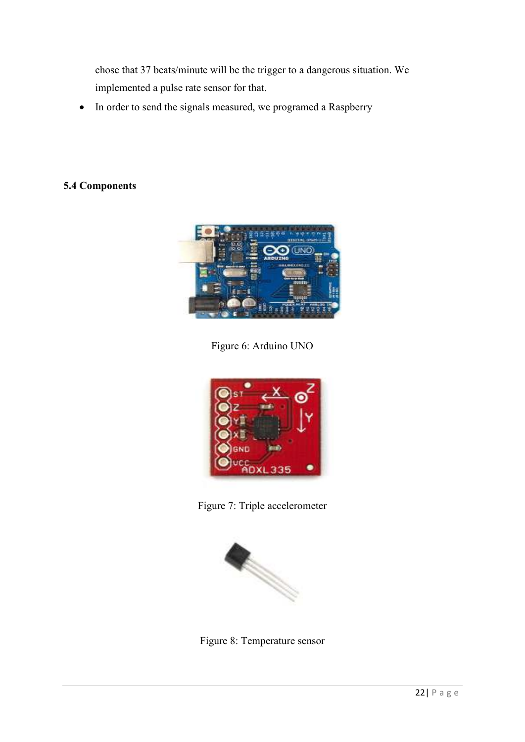chose that 37 beats/minute will be the trigger to a dangerous situation. We implemented a pulse rate sensor for that.

• In order to send the signals measured, we programed a Raspberry

#### **5.4 Components**



Figure 6: Arduino UNO



Figure 7: Triple accelerometer



Figure 8: Temperature sensor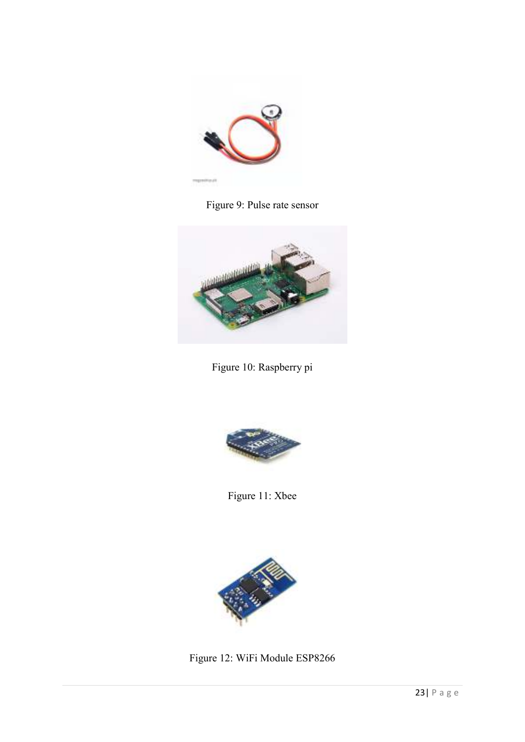

Figure 9: Pulse rate sensor



Figure 10: Raspberry pi



Figure 11: Xbee



Figure 12: WiFi Module ESP8266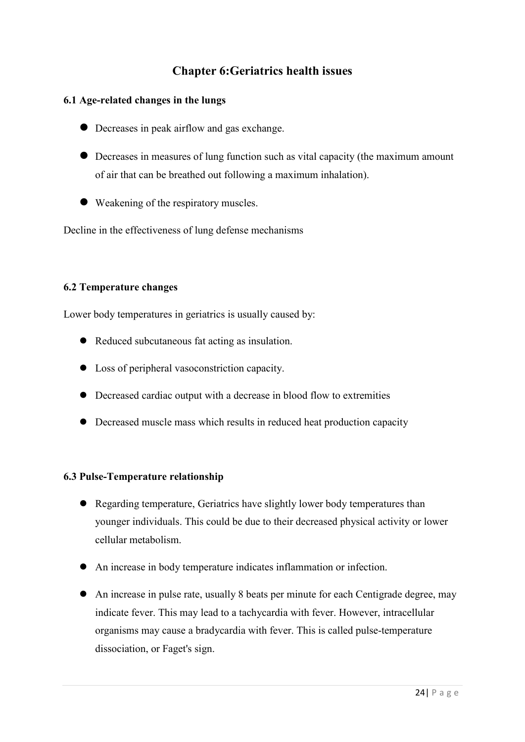## **Chapter 6:Geriatrics health issues**

#### **6.1 Age-related changes in the lungs**

- Decreases in peak airflow and gas exchange.
- Decreases in measures of lung function such as vital capacity (the maximum amount of air that can be breathed out following a maximum inhalation).
- Weakening of the respiratory muscles.

Decline in the effectiveness of lung defense mechanisms

#### **6.2 Temperature changes**

Lower body temperatures in geriatrics is usually caused by:

- Reduced subcutaneous fat acting as insulation.
- Loss of peripheral vasoconstriction capacity.
- Decreased cardiac output with a decrease in blood flow to extremities
- Decreased muscle mass which results in reduced heat production capacity

#### **6.3 Pulse-Temperature relationship**

- Regarding temperature, Geriatrics have slightly lower body temperatures than younger individuals. This could be due to their decreased physical activity or lower cellular metabolism.
- An increase in body temperature indicates inflammation or infection.
- An increase in pulse rate, usually 8 beats per minute for each Centigrade degree, may indicate fever. This may lead to a tachycardia with fever. However, intracellular organisms may cause a bradycardia with fever. This is called pulse-temperature dissociation, or Faget's sign.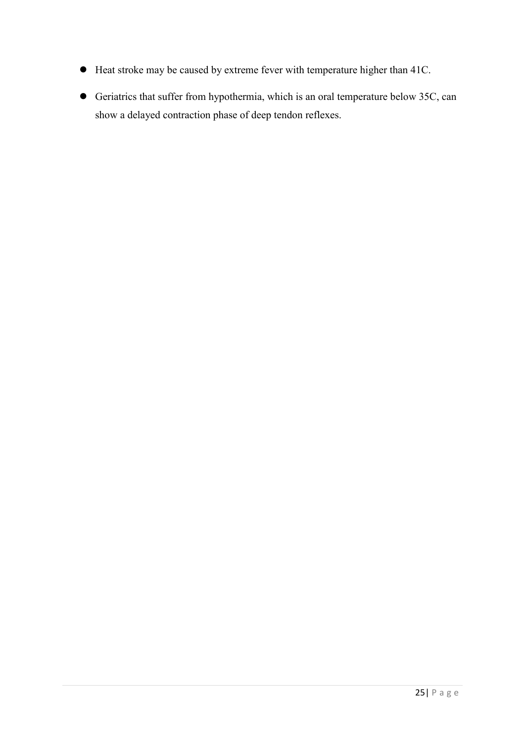- Heat stroke may be caused by extreme fever with temperature higher than 41C.
- Geriatrics that suffer from hypothermia, which is an oral temperature below 35C, can show a delayed contraction phase of deep tendon reflexes.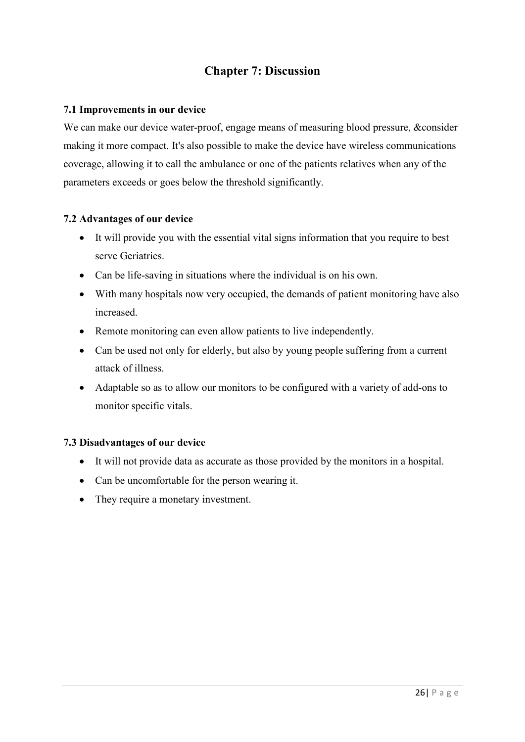## **Chapter 7: Discussion**

#### **7.1 Improvements in our device**

We can make our device water-proof, engage means of measuring blood pressure, &consider making it more compact. It's also possible to make the device have wireless communications coverage, allowing it to call the ambulance or one of the patients relatives when any of the parameters exceeds or goes below the threshold significantly.

#### **7.2 Advantages of our device**

- It will provide you with the essential vital signs information that you require to best serve Geriatrics.
- Can be life-saving in situations where the individual is on his own.
- With many hospitals now very occupied, the demands of patient monitoring have also increased.
- Remote monitoring can even allow patients to live independently.
- Can be used not only for elderly, but also by young people suffering from a current attack of illness.
- Adaptable so as to allow our monitors to be configured with a variety of add-ons to monitor specific vitals.

#### **7.3 Disadvantages of our device**

- It will not provide data as accurate as those provided by the monitors in a hospital.
- Can be uncomfortable for the person wearing it.
- They require a monetary investment.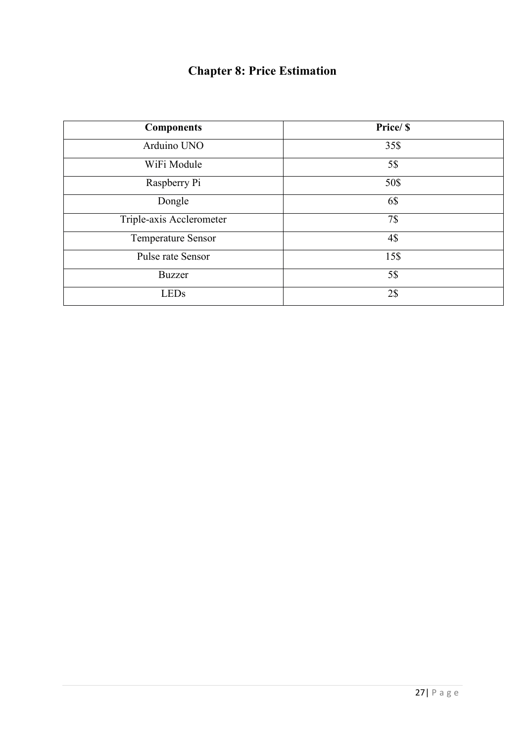# **Chapter 8: Price Estimation**

| <b>Components</b>         | Price/ \$ |
|---------------------------|-----------|
| Arduino UNO               | 35\$      |
| WiFi Module               | 5\$       |
| Raspberry Pi              | 50\$      |
| Dongle                    | 6\$       |
| Triple-axis Acclerometer  | 7\$       |
| <b>Temperature Sensor</b> | 4\$       |
| Pulse rate Sensor         | 15\$      |
| <b>Buzzer</b>             | 5\$       |
| <b>LEDs</b>               | 2\$       |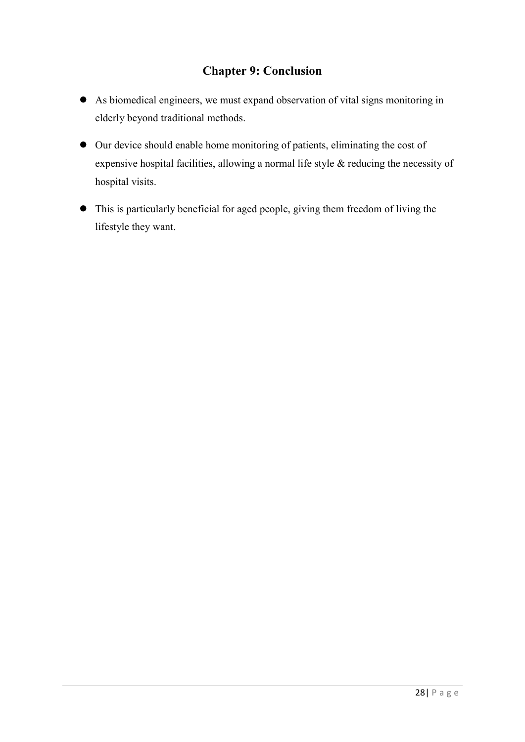## **Chapter 9: Conclusion**

- As biomedical engineers, we must expand observation of vital signs monitoring in elderly beyond traditional methods.
- Our device should enable home monitoring of patients, eliminating the cost of expensive hospital facilities, allowing a normal life style & reducing the necessity of hospital visits.
- This is particularly beneficial for aged people, giving them freedom of living the lifestyle they want.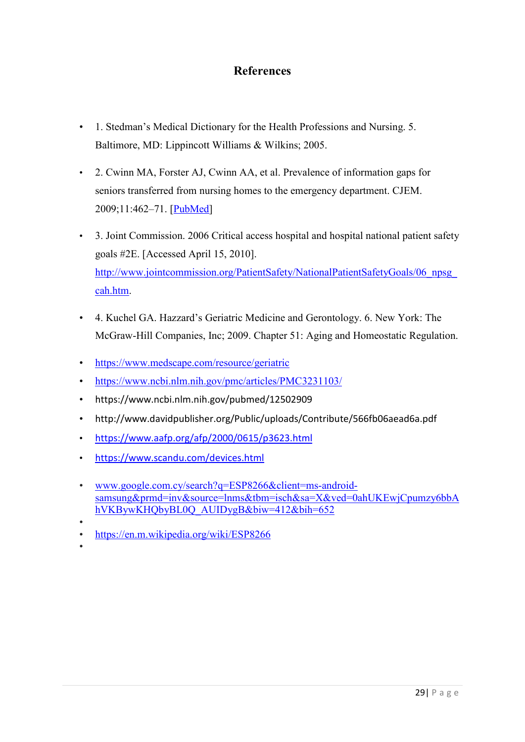## **References**

- 1. Stedman's Medical Dictionary for the Health Professions and Nursing. 5. Baltimore, MD: Lippincott Williams & Wilkins; 2005.
- 2. Cwinn MA, Forster AJ, Cwinn AA, et al. Prevalence of information gaps for seniors transferred from nursing homes to the emergency department. CJEM. 2009;11:462–71. [PubMed]
- 3. Joint Commission. 2006 Critical access hospital and hospital national patient safety goals #2E. [Accessed April 15, 2010]. http://www.jointcommission.org/PatientSafety/NationalPatientSafetyGoals/06\_npsg cah.htm.
- 4. Kuchel GA. Hazzard's Geriatric Medicine and Gerontology. 6. New York: The McGraw-Hill Companies, Inc; 2009. Chapter 51: Aging and Homeostatic Regulation.
- https://www.medscape.com/resource/geriatric
- https://www.ncbi.nlm.nih.gov/pmc/articles/PMC3231103/
- https://www.ncbi.nlm.nih.gov/pubmed/12502909
- http://www.davidpublisher.org/Public/uploads/Contribute/566fb06aead6a.pdf
- https://www.aafp.org/afp/2000/0615/p3623.html
- https://www.scandu.com/devices.html
- www.google.com.cy/search?q=ESP8266&client=ms-androidsamsung&prmd=inv&source=lnms&tbm=isch&sa=X&ved=0ahUKEwjCpumzy6bbA hVKBywKHQbyBL0Q\_AUIDygB&biw=412&bih=652
- • https://en.m.wikipedia.org/wiki/ESP8266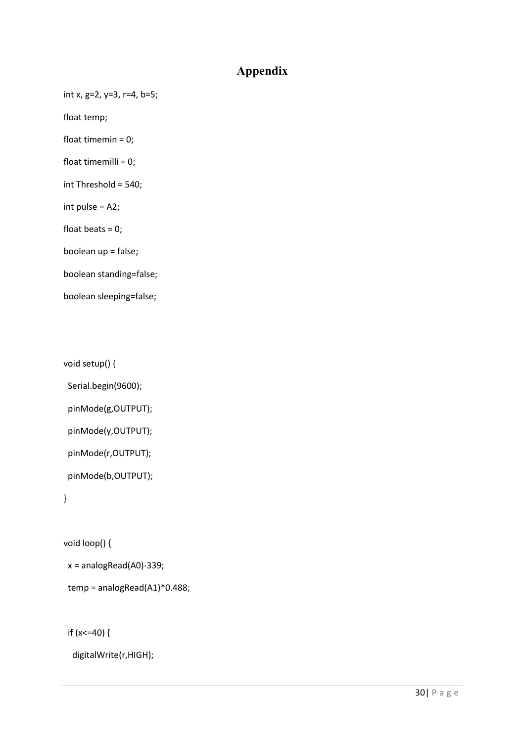## **Appendix**

int x, g=2, y=3, r=4, b=5;

float temp;

float timemin = 0;

float timemilli = 0;

int Threshold = 540;

int pulse = A2;

float beats = 0;

boolean up = false;

boolean standing=false;

boolean sleeping=false;

void setup() {

Serial.begin(9600);

pinMode(g,OUTPUT);

pinMode(y,OUTPUT);

pinMode(r,OUTPUT);

pinMode(b,OUTPUT);

}

void loop() {

x = analogRead(A0)-339;

temp = analogRead(A1)\*0.488;

if  $(x < = 40)$  {

digitalWrite(r,HIGH);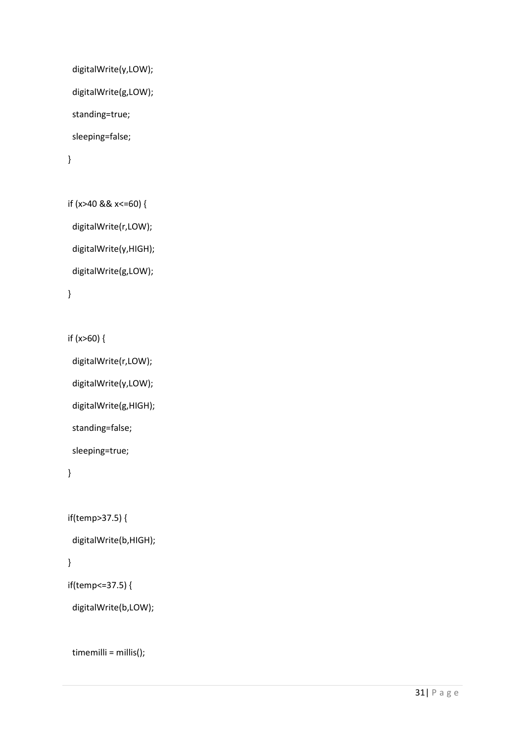```
 digitalWrite(y,LOW); 
  digitalWrite(g,LOW); 
  standing=true; 
  sleeping=false; 
 }
```

```
 if (x>40 && x<=60) { 
  digitalWrite(r,LOW); 
  digitalWrite(y,HIGH); 
  digitalWrite(g,LOW);
```

```
 }
```

```
 if (x>60) {
```

```
 digitalWrite(r,LOW);
```
digitalWrite(y,LOW);

digitalWrite(g,HIGH);

standing=false;

sleeping=true;

```
 }
```

```
 if(temp>37.5) {
```

```
 digitalWrite(b,HIGH);
```
## }

```
 if(temp<=37.5) {
```
digitalWrite(b,LOW);

```
 timemilli = millis();
```